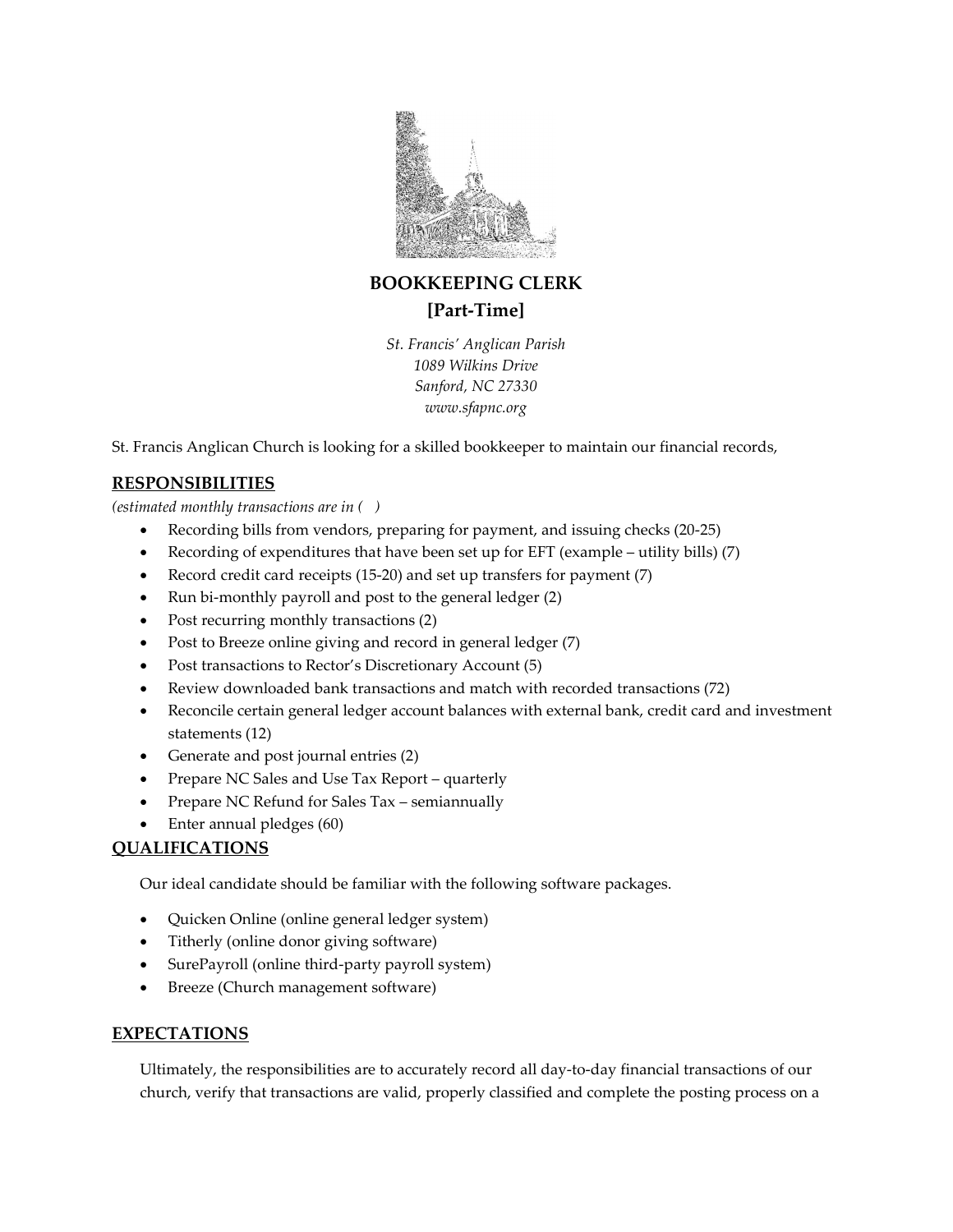

BOOKKEEPING CLERK [Part-Time]

St. Francis' Anglican Parish 1089 Wilkins Drive Sanford, NC 27330 www.sfapnc.org

St. Francis Anglican Church is looking for a skilled bookkeeper to maintain our financial records,

## RESPONSIBILITIES

(estimated monthly transactions are in ( )

- Recording bills from vendors, preparing for payment, and issuing checks (20-25)
- Recording of expenditures that have been set up for EFT (example utility bills) (7)
- Record credit card receipts (15-20) and set up transfers for payment (7)
- Run bi-monthly payroll and post to the general ledger (2)
- Post recurring monthly transactions (2)
- Post to Breeze online giving and record in general ledger (7)
- Post transactions to Rector's Discretionary Account (5)
- Review downloaded bank transactions and match with recorded transactions (72)
- Reconcile certain general ledger account balances with external bank, credit card and investment statements (12)
- Generate and post journal entries (2)
- Prepare NC Sales and Use Tax Report quarterly
- Prepare NC Refund for Sales Tax semiannually
- Enter annual pledges (60)

## QUALIFICATIONS

Our ideal candidate should be familiar with the following software packages.

- Quicken Online (online general ledger system)
- Titherly (online donor giving software)
- SurePayroll (online third-party payroll system)
- Breeze (Church management software)

## EXPECTATIONS

Ultimately, the responsibilities are to accurately record all day-to-day financial transactions of our church, verify that transactions are valid, properly classified and complete the posting process on a